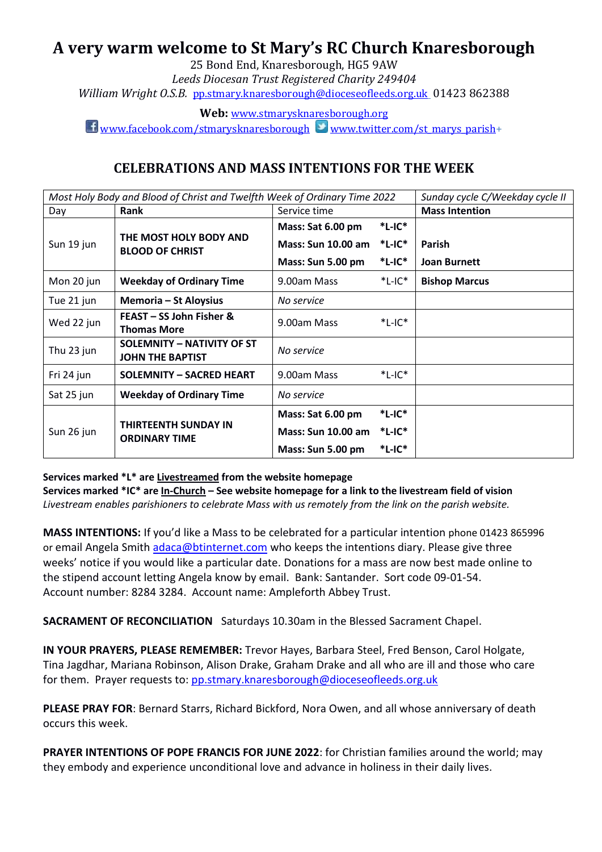# **A very warm welcome to St Mary's RC Church Knaresborough**

25 Bond End, Knaresborough, HG5 9AW *Leeds Diocesan Trust Registered Charity 249404 William Wright O.S.B.* [pp.stmary.knaresborough@dioceseofleeds.org.uk](mailto:pp.stmary.knaresborough@dioceseofleeds.org.uk) 01423 862388

**Web:** [www.stmarysknaresborough.org](http://www.stmarysknaresborough.org/)

 $\Box$  [www.facebook.com/stmarysknaresborough](http://www.facebook.com/stmarysknaresborough) [www.twitter.com/st\\_marys\\_parish+](http://www.twitter.com/st_marys_parish)

### **CELEBRATIONS AND MASS INTENTIONS FOR THE WEEK**

| Most Holy Body and Blood of Christ and Twelfth Week of Ordinary Time 2022 |                                                              |                           |              | Sunday cycle C/Weekday cycle II |
|---------------------------------------------------------------------------|--------------------------------------------------------------|---------------------------|--------------|---------------------------------|
| Day                                                                       | Rank                                                         | Service time              |              | <b>Mass Intention</b>           |
| Sun 19 jun                                                                | THE MOST HOLY BODY AND<br><b>BLOOD OF CHRIST</b>             | Mass: Sat 6.00 pm         | $*$ L-IC $*$ |                                 |
|                                                                           |                                                              | <b>Mass: Sun 10.00 am</b> | $*$ L-IC $*$ | Parish                          |
|                                                                           |                                                              | Mass: Sun 5.00 pm         | $*$ L-IC $*$ | <b>Joan Burnett</b>             |
| Mon 20 jun                                                                | <b>Weekday of Ordinary Time</b>                              | 9.00am Mass               | $*$ L-IC $*$ | <b>Bishop Marcus</b>            |
| Tue 21 jun                                                                | Memoria – St Aloysius                                        | No service                |              |                                 |
| Wed 22 jun                                                                | FEAST - SS John Fisher &<br><b>Thomas More</b>               | 9.00am Mass               | $*$ L-IC $*$ |                                 |
| Thu 23 jun                                                                | <b>SOLEMNITY - NATIVITY OF ST</b><br><b>JOHN THE BAPTIST</b> | No service                |              |                                 |
| Fri 24 jun                                                                | <b>SOLEMNITY - SACRED HEART</b>                              | 9.00am Mass               | $*$ L-IC $*$ |                                 |
| Sat 25 jun                                                                | <b>Weekday of Ordinary Time</b>                              | No service                |              |                                 |
| Sun 26 jun                                                                | <b>THIRTEENTH SUNDAY IN</b><br><b>ORDINARY TIME</b>          | Mass: Sat 6.00 pm         | $*$ L-IC $*$ |                                 |
|                                                                           |                                                              | <b>Mass: Sun 10.00 am</b> | $*$ L-IC $*$ |                                 |
|                                                                           |                                                              | Mass: Sun 5.00 pm         | *L-IC*       |                                 |

**Services marked \*L\* are Livestreamed from the website homepage**

**Services marked \*IC\* are In-Church – See website homepage for a link to the livestream field of vision** *Livestream enables parishioners to celebrate Mass with us remotely from the link on the parish website.*

**MASS INTENTIONS:** If you'd like a Mass to be celebrated for a particular intention phone 01423 865996 or email Angela Smith [adaca@btinternet.com](mailto:adaca@btinternet.com) who keeps the intentions diary. Please give three weeks' notice if you would like a particular date. Donations for a mass are now best made online to the stipend account letting Angela know by email. Bank: Santander. Sort code 09-01-54. Account number: 8284 3284. Account name: Ampleforth Abbey Trust.

**SACRAMENT OF RECONCILIATION** Saturdays 10.30am in the Blessed Sacrament Chapel.

**IN YOUR PRAYERS, PLEASE REMEMBER:** Trevor Hayes, Barbara Steel, Fred Benson, Carol Holgate, Tina Jagdhar, Mariana Robinson, Alison Drake, Graham Drake and all who are ill and those who care for them. Prayer requests to: pp.stmary.knaresboroug[h@dioceseofleeds.org.uk](mailto:william.wright@dioceseofleeds.org.uk)

**PLEASE PRAY FOR**: Bernard Starrs, Richard Bickford, Nora Owen, and all whose anniversary of death occurs this week.

**PRAYER INTENTIONS OF POPE FRANCIS FOR JUNE 2022**: for Christian families around the world; may they embody and experience unconditional love and advance in holiness in their daily lives.